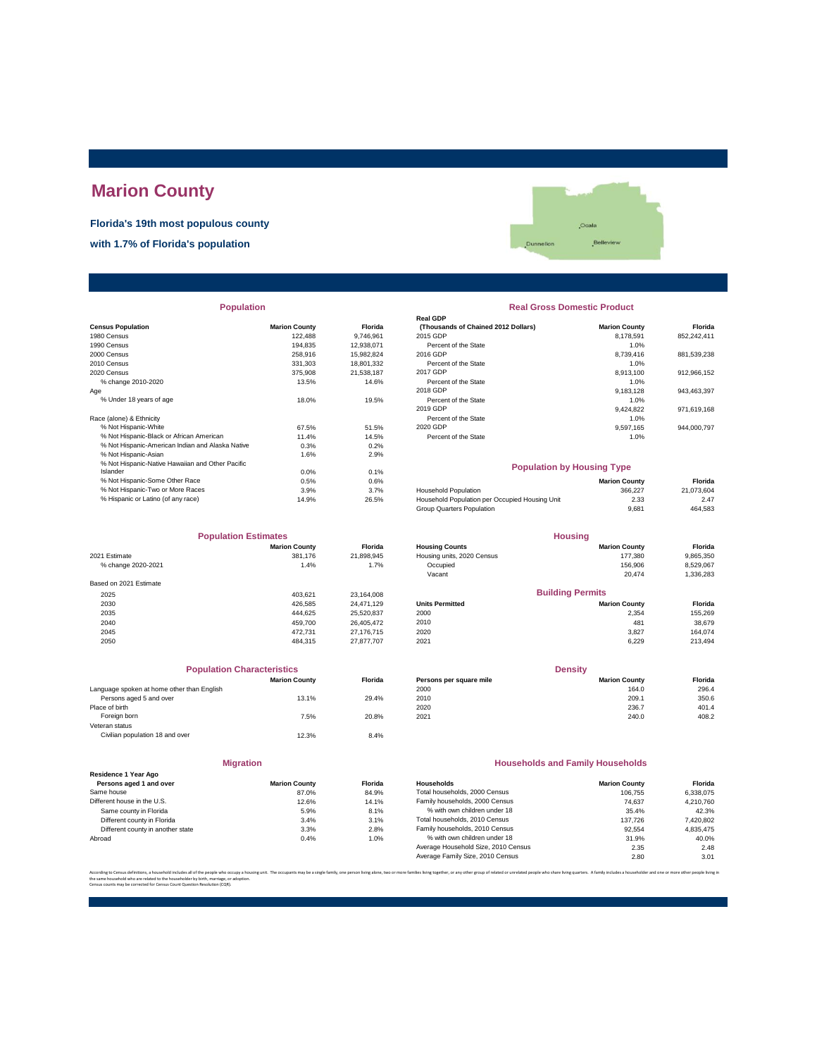# **Marion County**

**Florida's 19th most populous county**

**with 1.7% of Florida's population**



| <b>Population</b> |  |
|-------------------|--|

|                                                  |                      |            | Redi ODF                                       |                      |             |
|--------------------------------------------------|----------------------|------------|------------------------------------------------|----------------------|-------------|
| <b>Census Population</b>                         | <b>Marion County</b> | Florida    | (Thousands of Chained 2012 Dollars)            | <b>Marion County</b> | Florida     |
| 1980 Census                                      | 122.488              | 9.746.961  | 2015 GDP                                       | 8.178.591            | 852.242.411 |
| 1990 Census                                      | 194.835              | 12,938,071 | Percent of the State                           | 1.0%                 |             |
| 2000 Census                                      | 258,916              | 15,982,824 | 2016 GDP                                       | 8,739,416            | 881,539,238 |
| 2010 Census                                      | 331,303              | 18,801,332 | Percent of the State                           | 1.0%                 |             |
| 2020 Census                                      | 375,908              | 21.538.187 | 2017 GDP                                       | 8.913.100            | 912.966.152 |
| % change 2010-2020                               | 13.5%                | 14.6%      | Percent of the State                           | 1.0%                 |             |
| Age                                              |                      |            | 2018 GDP                                       | 9,183,128            | 943,463,397 |
| % Under 18 years of age                          | 18.0%                | 19.5%      | Percent of the State                           | 1.0%                 |             |
|                                                  |                      |            | 2019 GDP                                       | 9,424,822            | 971,619,168 |
| Race (alone) & Ethnicity                         |                      |            | Percent of the State                           | 1.0%                 |             |
| % Not Hispanic-White                             | 67.5%                | 51.5%      | 2020 GDP                                       | 9,597,165            | 944,000,797 |
| % Not Hispanic-Black or African American         | 11.4%                | 14.5%      | Percent of the State                           | 1.0%                 |             |
| % Not Hispanic-American Indian and Alaska Native | 0.3%                 | 0.2%       |                                                |                      |             |
| % Not Hispanic-Asian                             | 1.6%                 | 2.9%       |                                                |                      |             |
| % Not Hispanic-Native Hawaiian and Other Pacific |                      |            | <b>Population by Housing Type</b>              |                      |             |
| Islander                                         | 0.0%                 | 0.1%       |                                                |                      |             |
| % Not Hispanic-Some Other Race                   | 0.5%                 | 0.6%       |                                                | <b>Marion County</b> | Florida     |
| % Not Hispanic-Two or More Races                 | 3.9%                 | 3.7%       | <b>Household Population</b>                    | 366.227              | 21,073,604  |
| % Hispanic or Latino (of any race)               | 14.9%                | 26.5%      | Household Population per Occupied Housing Unit | 2.33                 | 2.47        |
|                                                  |                      |            |                                                |                      |             |

| <b>Population Estimates</b> |                      |                | <b>Housing</b>             |                         |           |
|-----------------------------|----------------------|----------------|----------------------------|-------------------------|-----------|
|                             | <b>Marion County</b> | <b>Florida</b> | <b>Housing Counts</b>      | <b>Marion County</b>    | Florida   |
| 2021 Estimate               | 381.176              | 21,898,945     | Housing units, 2020 Census | 177.380                 | 9,865,350 |
| % change 2020-2021          | 1.4%                 | 1.7%           | Occupied                   | 156,906                 | 8,529,067 |
|                             |                      |                | Vacant                     | 20.474                  | 1,336,283 |
| Based on 2021 Estimate      |                      |                |                            |                         |           |
| 2025                        | 403.621              | 23.164.008     |                            | <b>Building Permits</b> |           |
| 2030                        | 426.585              | 24.471.129     | <b>Units Permitted</b>     | <b>Marion County</b>    | Florida   |
| 2035                        | 444.625              | 25,520,837     | 2000                       | 2,354                   | 155,269   |
| 2040                        | 459.700              | 26.405.472     | 2010                       | 481                     | 38,679    |
| 2045                        | 472.731              | 27.176.715     | 2020                       | 3.827                   | 164.074   |
| 2050                        | 484.315              | 27.877.707     | 2021                       | 6.229                   | 213,494   |

| <b>Population Characteristics</b>          |                      |                |
|--------------------------------------------|----------------------|----------------|
|                                            | <b>Marion County</b> | <b>Florida</b> |
| Language spoken at home other than English |                      |                |
| Persons aged 5 and over                    | 13.1%                | 29.4%          |
| Place of birth                             |                      |                |
| Foreign born                               | 7.5%                 | 20.8%          |
| Veteran status                             |                      |                |
| Civilian population 18 and over            | 12.3%                | 8.4%           |
|                                            |                      |                |
|                                            |                      |                |

|                                                 | <b>Migration</b>     |        |
|-------------------------------------------------|----------------------|--------|
| Residence 1 Year Ago<br>Persons aged 1 and over | <b>Marion County</b> | Florid |
| Same house                                      | 87.0%                | 84.9   |
| Different house in the U.S.                     | 12.6%                | 14.1   |
| Same county in Florida                          | 5.9%                 | 8.1    |
| Different county in Florida                     | 3.4%                 | 3.1    |
| Different county in another state               | 3.3%                 | 2.8    |
| Abroad                                          | 0.4%                 | 1.0    |
|                                                 |                      |        |

| <b>Population</b> |                      |                | <b>Real Gross Domestic Product</b>  |                      |             |  |  |  |
|-------------------|----------------------|----------------|-------------------------------------|----------------------|-------------|--|--|--|
|                   |                      |                | <b>Real GDP</b>                     |                      |             |  |  |  |
|                   | <b>Marion County</b> | <b>Florida</b> | (Thousands of Chained 2012 Dollars) | <b>Marion County</b> | Florida     |  |  |  |
|                   | 122.488              | 9.746.961      | 2015 GDP                            | 8.178.591            | 852,242,411 |  |  |  |
|                   | 194.835              | 12,938,071     | Percent of the State                | 1.0%                 |             |  |  |  |
|                   | 258.916              | 15.982.824     | 2016 GDP                            | 8.739.416            | 881,539,238 |  |  |  |
|                   | 331.303              | 18,801,332     | Percent of the State                | 1.0%                 |             |  |  |  |
|                   | 375,908              | 21.538.187     | 2017 GDP                            | 8.913.100            | 912,966,152 |  |  |  |
|                   | 13.5%                | 14.6%          | Percent of the State                | 1.0%                 |             |  |  |  |
|                   |                      |                | 2018 GDP                            | 9.183.128            | 943,463,397 |  |  |  |
|                   | 18.0%                | 19.5%          | Percent of the State                | 1.0%                 |             |  |  |  |
|                   |                      |                | 2019 GDP                            | 9.424.822            | 971,619,168 |  |  |  |
|                   |                      |                | Percent of the State                | 1.0%                 |             |  |  |  |
|                   | 67.5%                | 51.5%          | 2020 GDP                            | 9.597.165            | 944,000,797 |  |  |  |
| n                 | 11.4%                | 14.5%          | Percent of the State                | 1.0%                 |             |  |  |  |
| ska Native        | 0.3%                 | 0.2%           |                                     |                      |             |  |  |  |
|                   | $\sim$ $  \sim$      | - ---          |                                     |                      |             |  |  |  |

## **Population by Housing Type**

| % Not Hispanic-Some Other Race     | 0.5%  | 0.6%  |                                                | <b>Marion County</b> | Florida    |
|------------------------------------|-------|-------|------------------------------------------------|----------------------|------------|
| % Not Hispanic-Two or More Races   | 3.9%  | 3.7%  | <b>Household Population</b>                    | 366.227              | 21.073.604 |
| % Hispanic or Latino (of any race) | 14.9% | 26.5% | Household Population per Occupied Housing Unit | 2.33                 | 2.47       |
|                                    |       |       | Group Quarters Population                      | 9.681                | 464,583    |
|                                    |       |       |                                                |                      |            |

| <b>Population Estimates</b> |                      |                | <b>Housing</b>             |                         |           |
|-----------------------------|----------------------|----------------|----------------------------|-------------------------|-----------|
|                             | <b>Marion County</b> | <b>Florida</b> | <b>Housing Counts</b>      | <b>Marion County</b>    | Florida   |
| 2021 Estimate               | 381,176              | 21.898.945     | Housing units, 2020 Census | 177.380                 | 9,865,350 |
| % change 2020-2021          | 1.4%                 | 1.7%           | Occupied                   | 156,906                 | 8,529,067 |
|                             |                      |                | Vacant                     | 20.474                  | 1,336,283 |
| Based on 2021 Estimate      |                      |                |                            |                         |           |
| 2025                        | 403.621              | 23.164.008     |                            | <b>Building Permits</b> |           |
| 2030                        | 426.585              | 24.471.129     | <b>Units Permitted</b>     | <b>Marion County</b>    | Florida   |
| 2035                        | 444.625              | 25,520,837     | 2000                       | 2,354                   | 155,269   |
| 2040                        | 459.700              | 26.405.472     | 2010                       | 481                     | 38,679    |
| 0015                        | 470.704              | 27.7227        | 0000                       | 0.027                   | 40.4074   |

| <b>Population Characteristics</b> |                |                         | <b>Density</b>       |         |  |  |
|-----------------------------------|----------------|-------------------------|----------------------|---------|--|--|
| <b>Marion County</b>              | <b>Florida</b> | Persons per square mile | <b>Marion County</b> | Florida |  |  |
|                                   |                | 2000                    | 164.0                | 296.4   |  |  |
| 13.1%                             | 29.4%          | 2010                    | 209.1                | 350.6   |  |  |
|                                   |                | 2020                    | 236.7                | 401.4   |  |  |
| 7.5%                              | 20.8%          | 2021                    | 240.0                | 408.2   |  |  |
|                                   |                |                         |                      |         |  |  |

#### **Households and Family Households**

| <b>Marion County</b> | <b>Florida</b> | Households                          | <b>Marion County</b> | Florida   |
|----------------------|----------------|-------------------------------------|----------------------|-----------|
| 87.0%                | 84.9%          | Total households, 2000 Census       | 106.755              | 6.338.075 |
| 12.6%                | 14.1%          | Family households, 2000 Census      | 74.637               | 4.210.760 |
| 5.9%                 | 8.1%           | % with own children under 18        | 35.4%                | 42.3%     |
| 3.4%                 | 3.1%           | Total households, 2010 Census       | 137.726              | 7,420,802 |
| 3.3%                 | 2.8%           | Family households, 2010 Census      | 92.554               | 4.835.475 |
| 0.4%                 | 1.0%           | % with own children under 18        | 31.9%                | 40.0%     |
|                      |                | Average Household Size, 2010 Census | 2.35                 | 2.48      |
|                      |                | Average Family Size, 2010 Census    | 2.80                 | 3.01      |
|                      |                |                                     |                      |           |

.<br>ilies living together, or any other group of related or unrelated people who share living quarters. A family includes a householder and one or mo

the same household who are related to the householder by birth, marriage, or adoption. Census counts may be corrected for Census Count Question Resolution (CQR).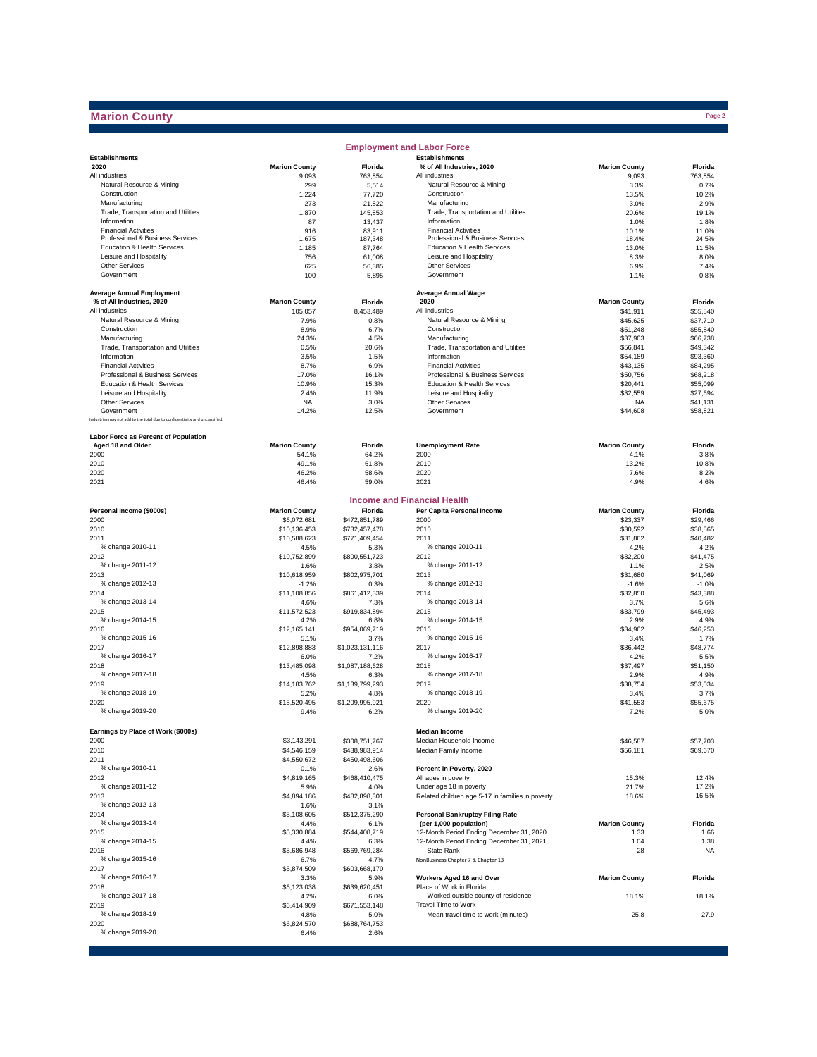## **Marion County**

|                                                                              |                      |                       | <b>Employment and Labor Force</b>                               |                      |                      |
|------------------------------------------------------------------------------|----------------------|-----------------------|-----------------------------------------------------------------|----------------------|----------------------|
| <b>Establishments</b>                                                        |                      |                       | <b>Establishments</b>                                           |                      |                      |
| 2020                                                                         | <b>Marion County</b> | Florida               | % of All Industries, 2020                                       | <b>Marion County</b> | Florida              |
| All industries                                                               | 9,093                | 763,854               | All industries                                                  | 9,093                | 763,854              |
| Natural Resource & Mining                                                    | 299                  | 5,514                 | Natural Resource & Mining                                       | 3.3%                 | 0.7%                 |
| Construction<br>Manufacturing                                                | 1,224<br>273         | 77,720<br>21,822      | Construction<br>Manufacturing                                   | 13.5%<br>3.0%        | 10.2%<br>2.9%        |
| Trade, Transportation and Utilities                                          | 1,870                | 145,853               | Trade, Transportation and Utilities                             | 20.6%                | 19.1%                |
| Information                                                                  | 87                   | 13,437                | Information                                                     | 1.0%                 | 1.8%                 |
| <b>Financial Activities</b>                                                  | 916                  | 83,911                | <b>Financial Activities</b>                                     | 10.1%                | 11.0%                |
| Professional & Business Services                                             | 1,675                | 187,348               | Professional & Business Services                                | 18.4%                | 24.5%                |
| Education & Health Services                                                  | 1,185                | 87,764                | Education & Health Services                                     | 13.0%                | 11.5%                |
| Leisure and Hospitality                                                      | 756                  | 61,008                | Leisure and Hospitality                                         | 8.3%                 | 8.0%                 |
| Other Services<br>Government                                                 | 625                  | 56,385                | Other Services<br>Government                                    | 6.9%                 | 7.4%                 |
|                                                                              | 100                  | 5,895                 |                                                                 | 1.1%                 | 0.8%                 |
| <b>Average Annual Employment</b>                                             |                      |                       | <b>Average Annual Wage</b>                                      |                      |                      |
| % of All Industries, 2020                                                    | <b>Marion County</b> | Florida               | 2020                                                            | <b>Marion County</b> | Florida              |
| All industries                                                               | 105,057              | 8,453,489             | All industries                                                  | \$41,911             | \$55,840             |
| Natural Resource & Mining                                                    | 7.9%                 | 0.8%                  | Natural Resource & Mining                                       | \$45,625             | \$37,710             |
| Construction                                                                 | 8.9%                 | 6.7%                  | Construction                                                    | \$51,248             | \$55,840             |
| Manufacturing                                                                | 24.3%                | 4.5%                  | Manufacturing                                                   | \$37,903             | \$66,738             |
| Trade, Transportation and Utilities                                          | 0.5%                 | 20.6%                 | Trade, Transportation and Utilities                             | \$56,841             | \$49,342             |
| Information                                                                  | 3.5%                 | 1.5%                  | Information                                                     | \$54,189             | \$93,360             |
| <b>Financial Activities</b>                                                  | 8.7%                 | 6.9%                  | <b>Financial Activities</b>                                     | \$43,135             | \$84,295             |
| Professional & Business Services<br>Education & Health Services              | 17.0%                | 16.1%                 | Professional & Business Services<br>Education & Health Services | \$50,756             | \$68,218             |
| Leisure and Hospitality                                                      | 10.9%<br>2.4%        | 15.3%<br>11.9%        | Leisure and Hospitality                                         | \$20,441<br>\$32,559 | \$55,099<br>\$27,694 |
| <b>Other Services</b>                                                        | <b>NA</b>            | 3.0%                  | Other Services                                                  | <b>NA</b>            | \$41,131             |
| Government                                                                   | 14.2%                | 12.5%                 | Government                                                      | \$44,608             | \$58,821             |
| Industries may not add to the total due to confidentiality and unclassified. |                      |                       |                                                                 |                      |                      |
|                                                                              |                      |                       |                                                                 |                      |                      |
| Labor Force as Percent of Population                                         |                      |                       |                                                                 |                      |                      |
| Aged 18 and Older                                                            | <b>Marion County</b> | Florida               | <b>Unemployment Rate</b>                                        | <b>Marion County</b> | Florida              |
| 2000                                                                         | 54.1%                | 64.2%                 | 2000                                                            | 4.1%                 | 3.8%                 |
| 2010                                                                         | 49.1%<br>46.2%       | 61.8%<br>58.6%        | 2010<br>2020                                                    | 13.2%<br>7.6%        | 10.8%<br>8.2%        |
| 2020<br>2021                                                                 | 46.4%                | 59.0%                 | 2021                                                            | 4.9%                 | 4.6%                 |
|                                                                              |                      |                       |                                                                 |                      |                      |
|                                                                              |                      |                       | <b>Income and Financial Health</b>                              |                      |                      |
| Personal Income (\$000s)                                                     | <b>Marion County</b> | Florida               | Per Capita Personal Income                                      | <b>Marion County</b> | Florida              |
| 2000                                                                         | \$6,072,681          | \$472,851,789         | 2000                                                            | \$23,337             | \$29,466             |
| 2010                                                                         | \$10,136,453         | \$732,457,478         | 2010                                                            | \$30,592             | \$38,865             |
| 2011                                                                         | \$10,588,623         | \$771,409,454         | 2011                                                            | \$31,862             | \$40,482             |
| % change 2010-11                                                             | 4.5%                 | 5.3%                  | % change 2010-11                                                | 4.2%                 | 4.2%                 |
| 2012                                                                         | \$10,752,899         | \$800,551,723         | 2012                                                            | \$32,200             | \$41,475             |
| % change 2011-12                                                             | 1.6%                 | 3.8%                  | % change 2011-12                                                | 1.1%                 | 2.5%                 |
| 2013                                                                         | \$10,618,959         | \$802,975,701         | 2013                                                            | \$31,680             | \$41,069             |
| % change 2012-13                                                             | $-1.2%$              | 0.3%                  | % change 2012-13                                                | $-1.6%$              | $-1.0%$              |
| 2014<br>% change 2013-14                                                     | \$11,108,856<br>4.6% | \$861,412,339<br>7.3% | 2014<br>% change 2013-14                                        | \$32,850<br>3.7%     | \$43,388<br>5.6%     |
| 2015                                                                         | \$11,572,523         | \$919,834,894         | 2015                                                            | \$33,799             | \$45,493             |
| % change 2014-15                                                             | 4.2%                 | 6.8%                  | % change 2014-15                                                | 2.9%                 | 4.9%                 |
| 2016                                                                         | \$12,165,141         | \$954,069,719         | 2016                                                            | \$34,962             | \$46,253             |
| % change 2015-16                                                             | 5.1%                 | 3.7%                  | % change 2015-16                                                | 3.4%                 | 1.7%                 |
| 2017                                                                         | \$12,898,883         | \$1,023,131,116       | 2017                                                            | \$36,442             | \$48,774             |
| % change 2016-17                                                             | 6.0%                 | 7.2%                  | % change 2016-17                                                | 4.2%                 | 5.5%                 |
| 2018                                                                         | \$13,485,098         | \$1,087,188,628       | 2018                                                            | \$37.497             | \$51,150             |
| % change 2017-18                                                             | 4.5%                 | 6.3%                  | % change 2017-18                                                | 2.9%                 | 4.9%                 |
| 2019                                                                         | \$14,183,762         | \$1,139,799,293       | 2019                                                            | \$38,754             | \$53,034             |
| % change 2018-19                                                             | 5.2%                 | 4.8%                  | % change 2018-19                                                | 3.4%                 | 3.7%                 |
| 2020                                                                         | \$15,520,495         | \$1,209,995,921       | 2020                                                            | \$41,553             | \$55,675             |
| % change 2019-20                                                             | 9.4%                 | 6.2%                  | % change 2019-20                                                | 7.2%                 | 5.0%                 |
| Earnings by Place of Work (\$000s)                                           |                      |                       | <b>Median Income</b>                                            |                      |                      |
| 2000                                                                         | \$3,143,291          | \$308,751,767         | Median Household Income                                         | \$46,587             | \$57,703             |
| 2010                                                                         | \$4,546,159          | \$438,983,914         | Median Family Income                                            | \$56,181             | \$69,670             |
| 2011                                                                         | \$4,550,672          | \$450,498,606         |                                                                 |                      |                      |
| % change 2010-11                                                             | 0.1%                 | 2.6%                  | Percent in Poverty, 2020                                        |                      |                      |
| 2012                                                                         | \$4,819,165          | \$468,410,475         | All ages in poverty                                             | 15.3%                | 12.4%                |
| % change 2011-12                                                             | 5.9%                 | 4.0%                  | Under age 18 in poverty                                         | 21.7%                | 17.2%                |
| 2013                                                                         | \$4,894,186          | \$482,898,301         | Related children age 5-17 in families in poverty                | 18.6%                | 16.5%                |
| % change 2012-13                                                             | 1.6%                 | 3.1%                  |                                                                 |                      |                      |
| 2014                                                                         | \$5,108,605          | \$512,375,290         | <b>Personal Bankruptcy Filing Rate</b>                          |                      |                      |
| % change 2013-14                                                             | 4.4%                 | 6.1%                  | (per 1,000 population)                                          | <b>Marion County</b> | Florida              |
| 2015                                                                         | \$5,330,884          | \$544,408,719         | 12-Month Period Ending December 31, 2020                        | 1.33                 | 1.66                 |
| % change 2014-15                                                             | 4.4%                 | 6.3%                  | 12-Month Period Ending December 31, 2021                        | 1.04                 | 1.38                 |
| 2016<br>% change 2015-16                                                     | \$5,686,948          | \$569,769,284         | State Rank                                                      | 28                   | <b>NA</b>            |
| 2017                                                                         | 6.7%<br>\$5,874,509  | 4.7%<br>\$603,668,170 | NonBusiness Chapter 7 & Chapter 13                              |                      |                      |
| % change 2016-17                                                             | 3.3%                 | 5.9%                  | Workers Aged 16 and Over                                        | <b>Marion County</b> | Florida              |
| 2018                                                                         | \$6,123,038          | \$639,620,451         | Place of Work in Florida                                        |                      |                      |
| % change 2017-18                                                             | 4.2%                 | 6.0%                  | Worked outside county of residence                              | 18.1%                | 18.1%                |
| 2019                                                                         | \$6,414,909          | \$671,553,148         | Travel Time to Work                                             |                      |                      |
| % change 2018-19                                                             | 4.8%                 | 5.0%                  | Mean travel time to work (minutes)                              | 25.8                 | 27.9                 |
| 2020                                                                         | \$6,824,570          | \$688,764,753         |                                                                 |                      |                      |
| % change 2019-20                                                             | 6.4%                 | 2.6%                  |                                                                 |                      |                      |